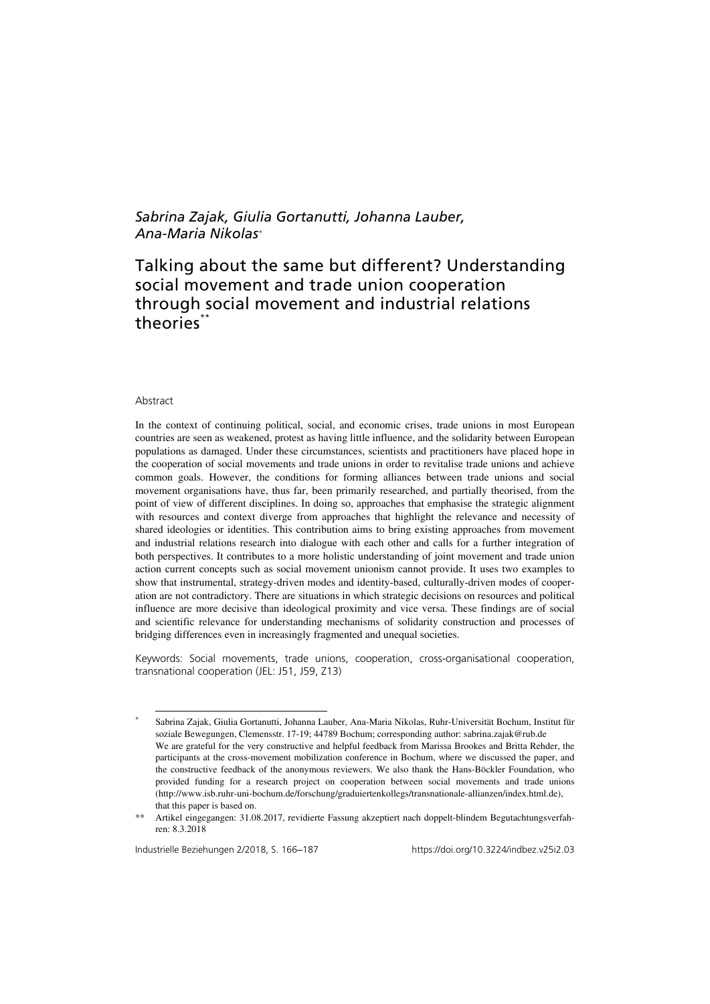## *Sabrina Zajak, Giulia Gortanutti, Johanna Lauber, Ana-Maria Nikolas\**

# Talking about the same but different? Understanding social movement and trade union cooperation through social movement and industrial relations theories\*\*

#### **Abstract**

l

In the context of continuing political, social, and economic crises, trade unions in most European countries are seen as weakened, protest as having little influence, and the solidarity between European populations as damaged. Under these circumstances, scientists and practitioners have placed hope in the cooperation of social movements and trade unions in order to revitalise trade unions and achieve common goals. However, the conditions for forming alliances between trade unions and social movement organisations have, thus far, been primarily researched, and partially theorised, from the point of view of different disciplines. In doing so, approaches that emphasise the strategic alignment with resources and context diverge from approaches that highlight the relevance and necessity of shared ideologies or identities. This contribution aims to bring existing approaches from movement and industrial relations research into dialogue with each other and calls for a further integration of both perspectives. It contributes to a more holistic understanding of joint movement and trade union action current concepts such as social movement unionism cannot provide. It uses two examples to show that instrumental, strategy-driven modes and identity-based, culturally-driven modes of cooperation are not contradictory. There are situations in which strategic decisions on resources and political influence are more decisive than ideological proximity and vice versa. These findings are of social and scientific relevance for understanding mechanisms of solidarity construction and processes of bridging differences even in increasingly fragmented and unequal societies.

Keywords: Social movements, trade unions, cooperation, cross-organisational cooperation, transnational cooperation (JEL: J51, J59, Z13)

<sup>\*</sup> Sabrina Zajak, Giulia Gortanutti, Johanna Lauber, Ana-Maria Nikolas, Ruhr-Universität Bochum, Institut für soziale Bewegungen, Clemensstr. 17-19; 44789 Bochum; corresponding author: [sabrina.zajak@rub.de](mailto:sabrina.zajak@rub.de)  We are grateful for the very constructive and helpful feedback from Marissa Brookes and Britta Rehder, the participants at the cross-movement mobilization conference in Bochum, where we discussed the paper, and the constructive feedback of the anonymous reviewers. We also thank the Hans-Böckler Foundation, who provided funding for a research project on cooperation between social movements and trade unions [\(http://www.isb.ruhr-uni-bochum.de/forschung/graduiertenkollegs/transnationale-allianzen/index.html.de\),](http://www.isb.ruhr-uni-bochum.de/forschung/graduiertenkollegs/transnationale-allianzen/index.html.de)  that this paper is based on.

<sup>\*\*</sup> Artikel eingegangen: 31.08.2017, revidierte Fassung akzeptiert nach doppelt-blindem Begutachtungsverfahren: 8.3.2018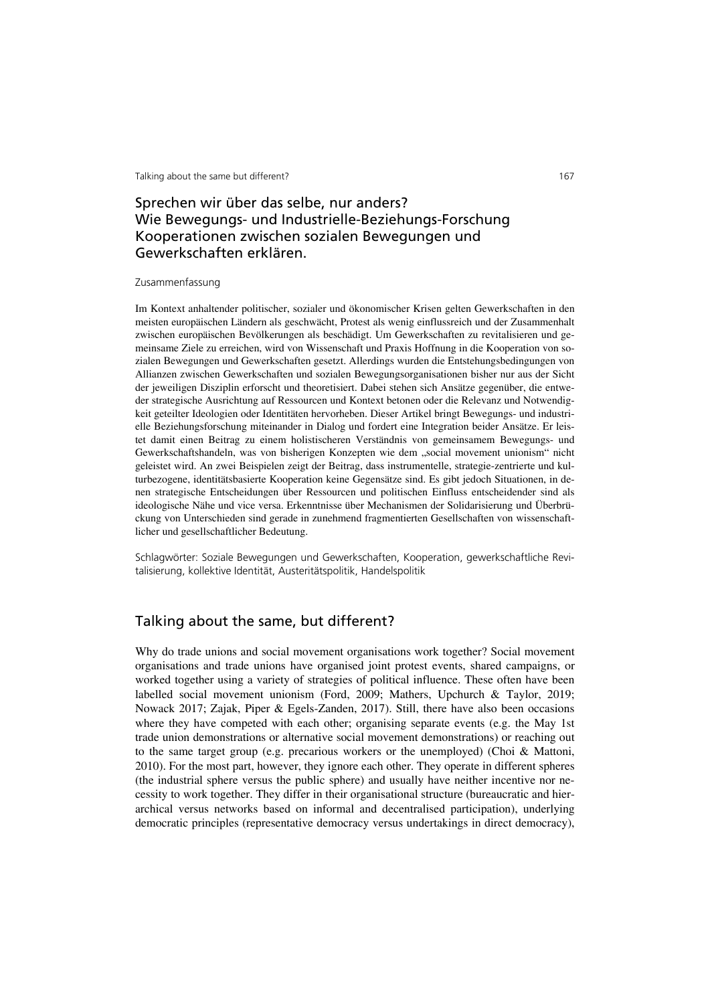## Sprechen wir über das selbe, nur anders? Wie Bewegungs- und Industrielle-Beziehungs-Forschung Kooperationen zwischen sozialen Bewegungen und Gewerkschaften erklären.

#### Zusammenfassung

Im Kontext anhaltender politischer, sozialer und ökonomischer Krisen gelten Gewerkschaften in den meisten europäischen Ländern als geschwächt, Protest als wenig einflussreich und der Zusammenhalt zwischen europäischen Bevölkerungen als beschädigt. Um Gewerkschaften zu revitalisieren und gemeinsame Ziele zu erreichen, wird von Wissenschaft und Praxis Hoffnung in die Kooperation von sozialen Bewegungen und Gewerkschaften gesetzt. Allerdings wurden die Entstehungsbedingungen von Allianzen zwischen Gewerkschaften und sozialen Bewegungsorganisationen bisher nur aus der Sicht der jeweiligen Disziplin erforscht und theoretisiert. Dabei stehen sich Ansätze gegenüber, die entweder strategische Ausrichtung auf Ressourcen und Kontext betonen oder die Relevanz und Notwendigkeit geteilter Ideologien oder Identitäten hervorheben. Dieser Artikel bringt Bewegungs- und industrielle Beziehungsforschung miteinander in Dialog und fordert eine Integration beider Ansätze. Er leistet damit einen Beitrag zu einem holistischeren Verständnis von gemeinsamem Bewegungs- und Gewerkschaftshandeln, was von bisherigen Konzepten wie dem "social movement unionism" nicht geleistet wird. An zwei Beispielen zeigt der Beitrag, dass instrumentelle, strategie-zentrierte und kulturbezogene, identitätsbasierte Kooperation keine Gegensätze sind. Es gibt jedoch Situationen, in denen strategische Entscheidungen über Ressourcen und politischen Einfluss entscheidender sind als ideologische Nähe und vice versa. Erkenntnisse über Mechanismen der Solidarisierung und Überbrückung von Unterschieden sind gerade in zunehmend fragmentierten Gesellschaften von wissenschaftlicher und gesellschaftlicher Bedeutung.

Schlagwörter: Soziale Bewegungen und Gewerkschaften, Kooperation, gewerkschaftliche Revitalisierung, kollektive Identität, Austeritätspolitik, Handelspolitik

### Talking about the same, but different?

Why do trade unions and social movement organisations work together? Social movement organisations and trade unions have organised joint protest events, shared campaigns, or worked together using a variety of strategies of political influence. These often have been labelled social movement unionism (Ford, 2009; Mathers, Upchurch & Taylor, 2019; Nowack 2017; Zajak, Piper & Egels-Zanden, 2017). Still, there have also been occasions where they have competed with each other; organising separate events (e.g. the May 1st trade union demonstrations or alternative social movement demonstrations) or reaching out to the same target group (e.g. precarious workers or the unemployed) (Choi & Mattoni, 2010). For the most part, however, they ignore each other. They operate in different spheres (the industrial sphere versus the public sphere) and usually have neither incentive nor necessity to work together. They differ in their organisational structure (bureaucratic and hierarchical versus networks based on informal and decentralised participation), underlying democratic principles (representative democracy versus undertakings in direct democracy),